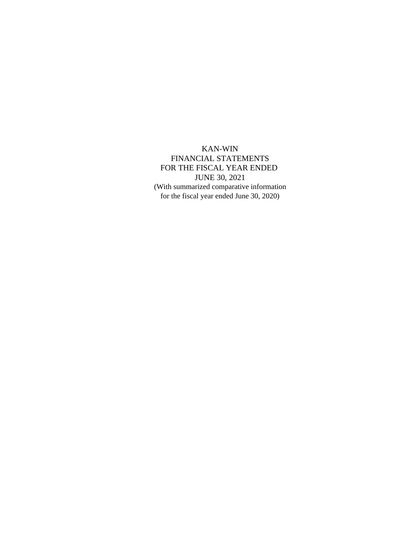KAN-WIN FINANCIAL STATEMENTS FOR THE FISCAL YEAR ENDED JUNE 30, 2021 (With summarized comparative information for the fiscal year ended June 30, 2020)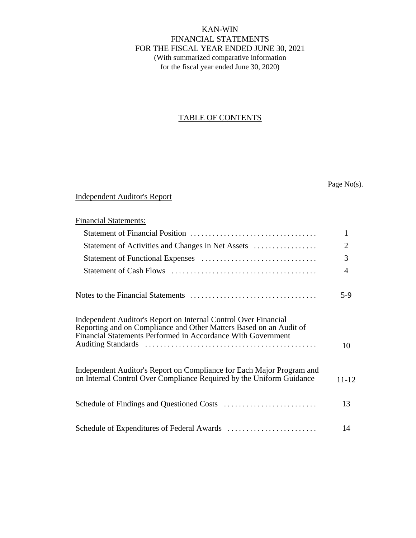KAN-WIN FINANCIAL STATEMENTS FOR THE FISCAL YEAR ENDED JUNE 30, 2021 (With summarized comparative information for the fiscal year ended June 30, 2020)

# TABLE OF CONTENTS

Page No(s).

# Independent Auditor's Report

| <b>Financial Statements:</b>                                                                                                                                                                          |                |
|-------------------------------------------------------------------------------------------------------------------------------------------------------------------------------------------------------|----------------|
|                                                                                                                                                                                                       | 1              |
| Statement of Activities and Changes in Net Assets                                                                                                                                                     | $\overline{2}$ |
|                                                                                                                                                                                                       | 3              |
|                                                                                                                                                                                                       | $\overline{4}$ |
|                                                                                                                                                                                                       | 5-9            |
| Independent Auditor's Report on Internal Control Over Financial<br>Reporting and on Compliance and Other Matters Based on an Audit of<br>Financial Statements Performed in Accordance With Government | 10             |
| Independent Auditor's Report on Compliance for Each Major Program and<br>on Internal Control Over Compliance Required by the Uniform Guidance                                                         | $11 - 12$      |
|                                                                                                                                                                                                       | 13             |
|                                                                                                                                                                                                       | 14             |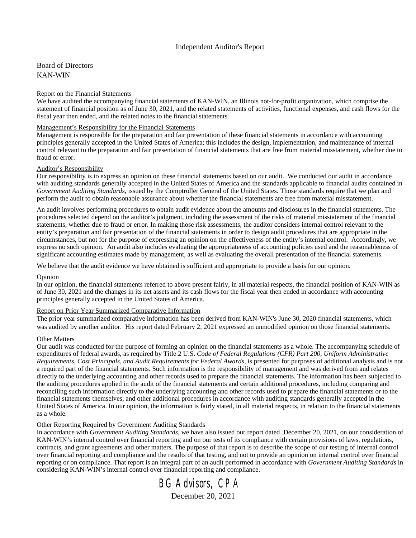#### Independent Auditor's Report

Board of Directors KAN-WIN

#### Report on the Financial Statements

We have audited the accompanying financial statements of KAN-WIN, an Illinois not-for-profit organization, which comprise the statement of financial position as of June 30, 2021, and the related statements of activities, functional expenses, and cash flows for the fiscal year then ended, and the related notes to the financial statements.

#### Management's Responsibility for the Financial Statements

Management is responsible for the preparation and fair presentation of these financial statements in accordance with accounting principles generally accepted in the United States of America; this includes the design, implementation, and maintenance of internal control relevant to the preparation and fair presentation of financial statements that are free from material misstatement, whether due to fraud or error.

#### Auditor's Responsibility

Our responsibility is to express an opinion on these financial statements based on our audit. We conducted our audit in accordance with auditing standards generally accepted in the United States of America and the standards applicable to financial audits contained in *Government Auditing Standards*, issued by the Comptroller General of the United States. Those standards require that we plan and perform the audit to obtain reasonable assurance about whether the financial statements are free from material misstatement.

An audit involves performing procedures to obtain audit evidence about the amounts and disclosures in the financial statements. The procedures selected depend on the auditor's judgment, including the assessment of the risks of material misstatement of the financial statements, whether due to fraud or error. In making those risk assessments, the auditor considers internal control relevant to the entity's preparation and fair presentation of the financial statements in order to design audit procedures that are appropriate in the circumstances, but not for the purpose of expressing an opinion on the effectiveness of the entity's internal control. Accordingly, we express no such opinion. An audit also includes evaluating the appropriateness of accounting policies used and the reasonableness of significant accounting estimates made by management, as well as evaluating the overall presentation of the financial statements.

We believe that the audit evidence we have obtained is sufficient and appropriate to provide a basis for our opinion.

#### **Opinion**

In our opinion, the financial statements referred to above present fairly, in all material respects, the financial position of KAN-WIN as of June 30, 2021 and the changes in its net assets and its cash flows for the fiscal year then ended in accordance with accounting principles generally accepted in the United States of America.

#### Report on Prior Year Summarized Comparative Information

The prior year summarized comparative information has been derived from KAN-WIN's June 30, 2020 financial statements, which was audited by another auditor. His report dated February 2, 2021 expressed an unmodified opinion on those financial statements.

#### Other Matters

Our audit was conducted for the purpose of forming an opinion on the financial statements as a whole. The accompanying schedule of expenditures of federal awards, as required by Title 2 U.S. *Code of Federal Regulations (CFR) Part 200, Uniform Administrative Requirements, Cost Principals, and Audit Requirements for Federal Awards*, is presented for purposes of additional analysis and is not a required part of the financial statements. Such information is the responsibility of management and was derived from and relates directly to the underlying accounting and other records used to prepare the financial statements. The information has been subjected to the auditing procedures applied in the audit of the financial statements and certain additional procedures, including comparing and reconciling such information directly to the underlying accounting and other records used to prepare the financial statements or to the financial statements themselves, and other additional procedures in accordance with auditing standards generally accepted in the United States of America. In our opinion, the information is fairly stated, in all material respects, in relation to the financial statements as a whole.

#### Other Reporting Required by Government Auditing Standards

In accordance with *Government Auditing Standards*, we have also issued our report dated December 20, 2021, on our consideration of KAN-WIN's internal control over financial reporting and on our tests of its compliance with certain provisions of laws, regulations, contracts, and grant agreements and other matters. The purpose of that report is to describe the scope of our testing of internal control over financial reporting and compliance and the results of that testing, and not to provide an opinion on internal control over financial reporting or on compliance. That report is an integral part of an audit performed in accordance with *Government Auditing Standards* in considering KAN-WIN's internal control over financial reporting and compliance.

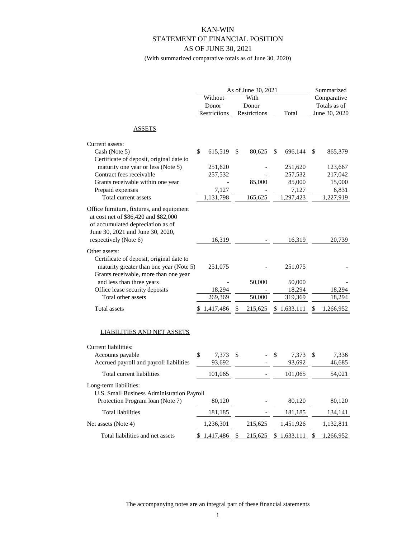# KAN-WIN STATEMENT OF FINANCIAL POSITION AS OF JUNE 30, 2021

(With summarized comparative totals as of June 30, 2020)

|                                                                                                                                                                                     |                 | As of June 30, 2021 |              | Summarized      |  |
|-------------------------------------------------------------------------------------------------------------------------------------------------------------------------------------|-----------------|---------------------|--------------|-----------------|--|
|                                                                                                                                                                                     | Without         | With                |              | Comparative     |  |
|                                                                                                                                                                                     | Donor           | Donor               |              | Totals as of    |  |
|                                                                                                                                                                                     | Restrictions    | Restrictions        | Total        | June 30, 2020   |  |
| <u>ASSETS</u>                                                                                                                                                                       |                 |                     |              |                 |  |
| Current assets:                                                                                                                                                                     |                 |                     |              |                 |  |
| Cash (Note 5)                                                                                                                                                                       | \$<br>615,519   | \$<br>80,625        | 696,144<br>S | \$<br>865,379   |  |
| Certificate of deposit, original date to                                                                                                                                            |                 |                     |              |                 |  |
| maturity one year or less (Note 5)                                                                                                                                                  | 251,620         |                     | 251,620      | 123,667         |  |
| Contract fees receivable                                                                                                                                                            | 257,532         |                     | 257,532      | 217,042         |  |
| Grants receivable within one year                                                                                                                                                   |                 | 85,000              | 85,000       | 15,000          |  |
| Prepaid expenses                                                                                                                                                                    | 7,127           |                     | 7,127        | 6,831           |  |
| Total current assets                                                                                                                                                                | 1,131,798       | 165,625             | 1,297,423    | 1,227,919       |  |
| Office furniture, fixtures, and equipment<br>at cost net of \$86,420 and \$82,000<br>of accumulated depreciation as of<br>June 30, 2021 and June 30, 2020,<br>respectively (Note 6) | 16,319          |                     | 16,319       | 20,739          |  |
|                                                                                                                                                                                     |                 |                     |              |                 |  |
| Other assets:<br>Certificate of deposit, original date to<br>maturity greater than one year (Note 5)<br>Grants receivable, more than one year                                       | 251,075         |                     | 251,075      |                 |  |
| and less than three years                                                                                                                                                           |                 | 50,000              | 50,000       |                 |  |
| Office lease security deposits                                                                                                                                                      | 18,294          |                     | 18,294       | 18,294          |  |
| Total other assets                                                                                                                                                                  | 269,369         | 50,000              | 319,369      | 18,294          |  |
| Total assets                                                                                                                                                                        | 1,417,486       | 215,625             | \$1,633,111  | 1,266,952       |  |
| <b>LIABILITIES AND NET ASSETS</b>                                                                                                                                                   |                 |                     |              |                 |  |
| Current liabilities:                                                                                                                                                                |                 |                     |              |                 |  |
| Accounts payable                                                                                                                                                                    | \$<br>7,373     | \$                  | \$<br>7,373  | \$<br>7,336     |  |
| Accrued payroll and payroll liabilities                                                                                                                                             | 93,692          |                     | 93,692       | 46,685          |  |
| Total current liabilities                                                                                                                                                           | 101,065         |                     | 101,065      | 54,021          |  |
| Long-term liabilities:<br>U.S. Small Business Administration Payroll<br>Protection Program Ioan (Note 7)                                                                            | 80,120          |                     | 80,120       | 80,120          |  |
| Total liabilities                                                                                                                                                                   | 181,185         |                     | 181,185      | 134,141         |  |
| Net assets (Note 4)                                                                                                                                                                 | 1,236,301       | 215,625             | 1,451,926    | 1,132,811       |  |
| Total liabilities and net assets                                                                                                                                                    | \$<br>1,417,486 | \$<br>215,625       | \$1,633,111  | \$<br>1,266,952 |  |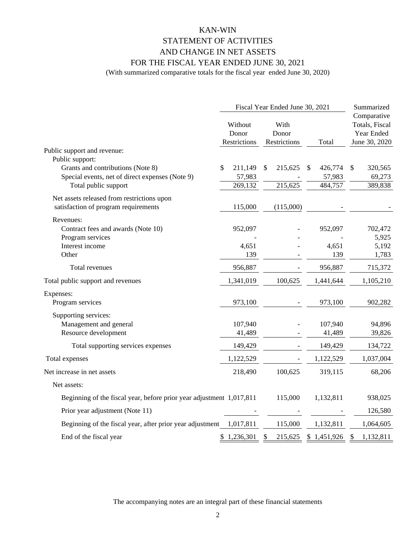# KAN-WIN STATEMENT OF ACTIVITIES AND CHANGE IN NET ASSETS FOR THE FISCAL YEAR ENDED JUNE 30, 2021

(With summarized comparative totals for the fiscal year ended June 30, 2020)

|                                                                                    | Fiscal Year Ended June 30, 2021  | Summarized                    |               |                                                              |
|------------------------------------------------------------------------------------|----------------------------------|-------------------------------|---------------|--------------------------------------------------------------|
|                                                                                    | Without<br>Donor<br>Restrictions | With<br>Donor<br>Restrictions | Total         | Comparative<br>Totals, Fiscal<br>Year Ended<br>June 30, 2020 |
| Public support and revenue:                                                        |                                  |                               |               |                                                              |
| Public support:<br>Grants and contributions (Note 8)                               | 211,149<br>\$                    | 215,625<br>\$                 | \$<br>426,774 | \$<br>320,565                                                |
| Special events, net of direct expenses (Note 9)                                    | 57,983                           |                               | 57,983        | 69,273                                                       |
| Total public support                                                               | 269,132                          | 215,625                       | 484,757       | 389,838                                                      |
| Net assets released from restrictions upon<br>satisfaction of program requirements | 115,000                          | (115,000)                     |               |                                                              |
| Revenues:                                                                          |                                  |                               |               |                                                              |
| Contract fees and awards (Note 10)                                                 | 952,097                          |                               | 952,097       | 702,472                                                      |
| Program services                                                                   |                                  |                               |               | 5,925                                                        |
| Interest income                                                                    | 4,651                            |                               | 4,651         | 5,192                                                        |
| Other                                                                              | 139                              |                               | 139           | 1,783                                                        |
| Total revenues                                                                     | 956,887                          |                               | 956,887       | 715,372                                                      |
| Total public support and revenues                                                  | 1,341,019                        | 100,625                       | 1,441,644     | 1,105,210                                                    |
| Expenses:<br>Program services                                                      | 973,100                          |                               | 973,100       | 902,282                                                      |
| Supporting services:                                                               |                                  |                               |               |                                                              |
| Management and general                                                             | 107,940                          |                               | 107,940       | 94,896                                                       |
| Resource development                                                               | 41,489                           |                               | 41,489        | 39,826                                                       |
| Total supporting services expenses                                                 | 149,429                          |                               | 149,429       | 134,722                                                      |
| Total expenses                                                                     | 1,122,529                        |                               | 1,122,529     | 1,037,004                                                    |
| Net increase in net assets                                                         | 218,490                          | 100,625                       | 319,115       | 68,206                                                       |
| Net assets:                                                                        |                                  |                               |               |                                                              |
| Beginning of the fiscal year, before prior year adjustment 1,017,811               |                                  | 115,000                       | 1,132,811     | 938,025                                                      |
| Prior year adjustment (Note 11)                                                    |                                  |                               |               | 126,580                                                      |
| Beginning of the fiscal year, after prior year adjustment                          | 1,017,811                        | 115,000                       | 1,132,811     | 1,064,605                                                    |
| End of the fiscal year                                                             | 1,236,301<br>\$                  | 215,625<br>\$                 | \$1,451,926   | 1,132,811<br>\$                                              |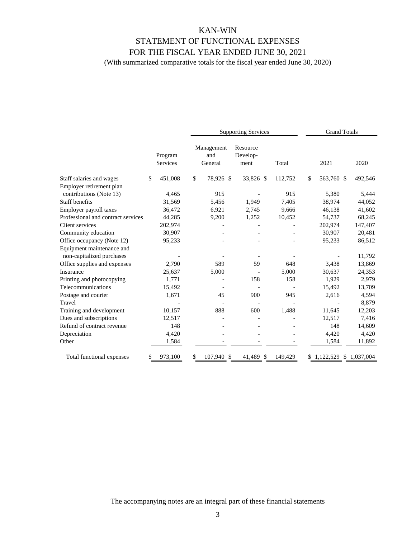# KAN-WIN STATEMENT OF FUNCTIONAL EXPENSES FOR THE FISCAL YEAR ENDED JUNE 30, 2021

(With summarized comparative totals for the fiscal year ended June 30, 2020)

|                                                        |                     | <b>Supporting Services</b>   |                              |         | <b>Grand Totals</b> |                        |  |  |
|--------------------------------------------------------|---------------------|------------------------------|------------------------------|---------|---------------------|------------------------|--|--|
|                                                        | Program<br>Services | Management<br>and<br>General | Resource<br>Develop-<br>ment | Total   | 2021                | 2020                   |  |  |
| Staff salaries and wages                               | \$<br>451,008       | \$<br>78,926 \$              | 33,826 \$                    | 112,752 | \$<br>563,760 \$    | 492,546                |  |  |
| Employer retirement plan                               |                     |                              |                              |         |                     |                        |  |  |
| contributions (Note 13)                                | 4,465               | 915                          |                              | 915     | 5,380               | 5,444                  |  |  |
| <b>Staff benefits</b>                                  | 31,569              | 5,456                        | 1,949                        | 7,405   | 38,974              | 44,052                 |  |  |
| Employer payroll taxes                                 | 36,472              | 6,921                        | 2,745                        | 9,666   | 46,138              | 41,602                 |  |  |
| Professional and contract services                     | 44,285              | 9,200                        | 1,252                        | 10,452  | 54,737              | 68,245                 |  |  |
| Client services                                        | 202,974             |                              |                              |         | 202,974             | 147,407                |  |  |
| Community education                                    | 30,907              |                              |                              |         | 30,907              | 20,481                 |  |  |
| Office occupancy (Note 12)                             | 95,233              |                              |                              |         | 95,233              | 86,512                 |  |  |
| Equipment maintenance and<br>non-capitalized purchases |                     |                              |                              |         |                     | 11,792                 |  |  |
| Office supplies and expenses                           | 2,790               | 589                          | 59                           | 648     | 3,438               | 13,869                 |  |  |
| Insurance                                              | 25,637              | 5,000                        |                              | 5,000   | 30,637              | 24,353                 |  |  |
| Printing and photocopying                              | 1,771               |                              | 158                          | 158     | 1,929               | 2,979                  |  |  |
| Telecommunications                                     | 15,492              |                              |                              |         | 15,492              | 13,709                 |  |  |
| Postage and courier                                    | 1,671               | 45                           | 900                          | 945     | 2,616               | 4,594                  |  |  |
| Travel                                                 |                     |                              |                              |         |                     | 8,879                  |  |  |
| Training and development                               | 10,157              | 888                          | 600                          | 1,488   | 11,645              | 12,203                 |  |  |
| Dues and subscriptions                                 | 12,517              |                              |                              |         | 12,517              | 7,416                  |  |  |
| Refund of contract revenue                             | 148                 |                              |                              |         | 148                 | 14,609                 |  |  |
| Depreciation                                           | 4,420               |                              |                              |         | 4,420               | 4,420                  |  |  |
| Other                                                  | 1,584               |                              |                              |         | 1,584               | 11,892                 |  |  |
| Total functional expenses                              | 973,100             | 107,940 \$                   | 41,489<br>-S                 | 149,429 |                     | 1,122,529 \$ 1,037,004 |  |  |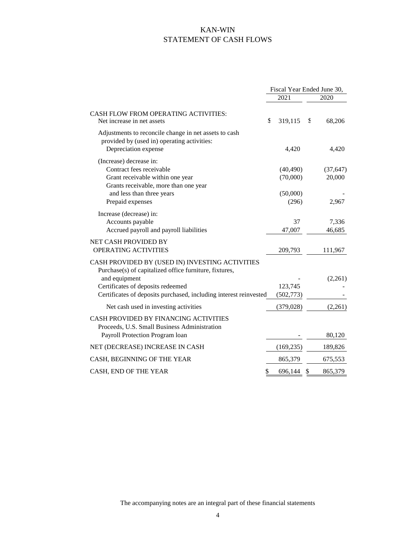# KAN-WIN STATEMENT OF CASH FLOWS

|                                                                                                                                                                                                                                      |    | Fiscal Year Ended June 30,        |    |                          |
|--------------------------------------------------------------------------------------------------------------------------------------------------------------------------------------------------------------------------------------|----|-----------------------------------|----|--------------------------|
|                                                                                                                                                                                                                                      |    | 2021                              |    | 2020                     |
| <b>CASH FLOW FROM OPERATING ACTIVITIES:</b><br>Net increase in net assets                                                                                                                                                            | £  | 319,115                           | S  | 68,206                   |
| Adjustments to reconcile change in net assets to cash<br>provided by (used in) operating activities:<br>Depreciation expense                                                                                                         |    | 4,420                             |    | 4,420                    |
| (Increase) decrease in:<br>Contract fees receivable<br>Grant receivable within one year<br>Grants receivable, more than one year<br>and less than three years                                                                        |    | (40, 490)<br>(70,000)<br>(50,000) |    | (37, 647)<br>20,000      |
| Prepaid expenses<br>Increase (decrease) in:<br>Accounts payable<br>Accrued payroll and payroll liabilities                                                                                                                           |    | (296)<br>37<br>47,007             |    | 2,967<br>7,336<br>46,685 |
| NET CASH PROVIDED BY<br>OPERATING ACTIVITIES                                                                                                                                                                                         |    | 209,793                           |    | 111,967                  |
| CASH PROVIDED BY (USED IN) INVESTING ACTIVITIES<br>Purchase(s) of capitalized office furniture, fixtures,<br>and equipment<br>Certificates of deposits redeemed<br>Certificates of deposits purchased, including interest reinvested |    | 123,745<br>(502, 773)             |    | (2,261)                  |
| Net cash used in investing activities                                                                                                                                                                                                |    | (379, 028)                        |    | (2,261)                  |
| CASH PROVIDED BY FINANCING ACTIVITIES<br>Proceeds, U.S. Small Business Administration<br>Payroll Protection Program loan                                                                                                             |    |                                   |    | 80,120                   |
| NET (DECREASE) INCREASE IN CASH                                                                                                                                                                                                      |    | (169, 235)                        |    | 189,826                  |
| CASH, BEGINNING OF THE YEAR                                                                                                                                                                                                          |    | 865,379                           |    | 675,553                  |
| CASH, END OF THE YEAR                                                                                                                                                                                                                | \$ | 696,144                           | \$ | 865,379                  |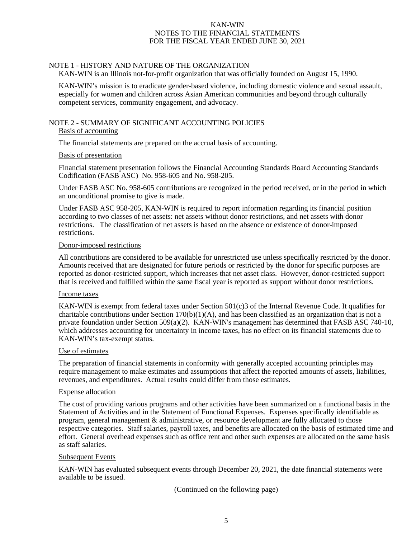#### NOTE 1 - HISTORY AND NATURE OF THE ORGANIZATION

KAN-WIN is an Illinois not-for-profit organization that was officially founded on August 15, 1990.

KAN-WIN's mission is to eradicate gender-based violence, including domestic violence and sexual assault, especially for women and children across Asian American communities and beyond through culturally competent services, community engagement, and advocacy.

### NOTE 2 - SUMMARY OF SIGNIFICANT ACCOUNTING POLICIES

### Basis of accounting

The financial statements are prepared on the accrual basis of accounting.

#### Basis of presentation

Financial statement presentation follows the Financial Accounting Standards Board Accounting Standards Codification (FASB ASC) No. 958-605 and No. 958-205.

Under FASB ASC No. 958-605 contributions are recognized in the period received, or in the period in which an unconditional promise to give is made.

Under FASB ASC 958-205, KAN-WIN is required to report information regarding its financial position according to two classes of net assets: net assets without donor restrictions, and net assets with donor restrictions. The classification of net assets is based on the absence or existence of donor-imposed restrictions.

#### Donor-imposed restrictions

All contributions are considered to be available for unrestricted use unless specifically restricted by the donor. Amounts received that are designated for future periods or restricted by the donor for specific purposes are reported as donor-restricted support, which increases that net asset class. However, donor-restricted support that is received and fulfilled within the same fiscal year is reported as support without donor restrictions.

#### Income taxes

KAN-WIN is exempt from federal taxes under Section 501(c)3 of the Internal Revenue Code. It qualifies for charitable contributions under Section  $170(b)(1)(A)$ , and has been classified as an organization that is not a private foundation under Section 509(a)(2). KAN-WIN's management has determined that FASB ASC 740-10, which addresses accounting for uncertainty in income taxes, has no effect on its financial statements due to KAN-WIN's tax-exempt status.

#### Use of estimates

The preparation of financial statements in conformity with generally accepted accounting principles may require management to make estimates and assumptions that affect the reported amounts of assets, liabilities, revenues, and expenditures. Actual results could differ from those estimates.

# Expense allocation

The cost of providing various programs and other activities have been summarized on a functional basis in the Statement of Activities and in the Statement of Functional Expenses. Expenses specifically identifiable as program, general management & administrative, or resource development are fully allocated to those respective categories. Staff salaries, payroll taxes, and benefits are allocated on the basis of estimated time and effort. General overhead expenses such as office rent and other such expenses are allocated on the same basis as staff salaries.

#### Subsequent Events

KAN-WIN has evaluated subsequent events through December 20, 2021, the date financial statements were available to be issued.

(Continued on the following page)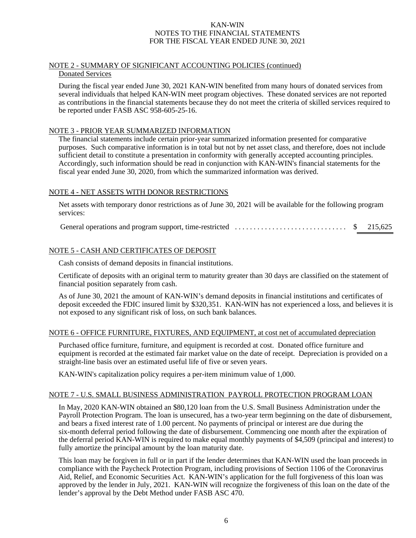#### NOTE 2 - SUMMARY OF SIGNIFICANT ACCOUNTING POLICIES (continued) Donated Services

During the fiscal year ended June 30, 2021 KAN-WIN benefited from many hours of donated services from several individuals that helped KAN-WIN meet program objectives. These donated services are not reported as contributions in the financial statements because they do not meet the criteria of skilled services required to be reported under FASB ASC 958-605-25-16.

### NOTE 3 - PRIOR YEAR SUMMARIZED INFORMATION

The financial statements include certain prior-year summarized information presented for comparative purposes. Such comparative information is in total but not by net asset class, and therefore, does not include sufficient detail to constitute a presentation in conformity with generally accepted accounting principles. Accordingly, such information should be read in conjunction with KAN-WIN's financial statements for the fiscal year ended June 30, 2020, from which the summarized information was derived.

# NOTE 4 - NET ASSETS WITH DONOR RESTRICTIONS

Net assets with temporary donor restrictions as of June 30, 2021 will be available for the following program services:

General operations and program support, time-restricted .............................. \$ 215,625

# NOTE 5 - CASH AND CERTIFICATES OF DEPOSIT

Cash consists of demand deposits in financial institutions.

Certificate of deposits with an original term to maturity greater than 30 days are classified on the statement of financial position separately from cash.

As of June 30, 2021 the amount of KAN-WIN's demand deposits in financial institutions and certificates of deposit exceeded the FDIC insured limit by \$320,351. KAN-WIN has not experienced a loss, and believes it is not exposed to any significant risk of loss, on such bank balances.

#### NOTE 6 - OFFICE FURNITURE, FIXTURES, AND EQUIPMENT, at cost net of accumulated depreciation

Purchased office furniture, furniture, and equipment is recorded at cost. Donated office furniture and equipment is recorded at the estimated fair market value on the date of receipt. Depreciation is provided on a straight-line basis over an estimated useful life of five or seven years.

KAN-WIN's capitalization policy requires a per-item minimum value of 1,000.

#### NOTE 7 - U.S. SMALL BUSINESS ADMINISTRATION PAYROLL PROTECTION PROGRAM LOAN

In May, 2020 KAN-WIN obtained an \$80,120 loan from the U.S. Small Business Administration under the Payroll Protection Program. The loan is unsecured, has a two-year term beginning on the date of disbursement, and bears a fixed interest rate of 1.00 percent. No payments of principal or interest are due during the six-month deferral period following the date of disbursement. Commencing one month after the expiration of the deferral period KAN-WIN is required to make equal monthly payments of \$4,509 (principal and interest) to fully amortize the principal amount by the loan maturity date.

This loan may be forgiven in full or in part if the lender determines that KAN-WIN used the loan proceeds in compliance with the Paycheck Protection Program, including provisions of Section 1106 of the Coronavirus Aid, Relief, and Economic Securities Act. KAN-WIN's application for the full forgiveness of this loan was approved by the lender in July, 2021. KAN-WIN will recognize the forgiveness of this loan on the date of the lender's approval by the Debt Method under FASB ASC 470.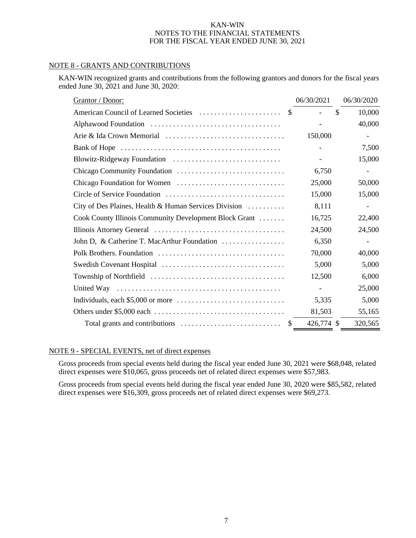#### NOTE 8 - GRANTS AND CONTRIBUTIONS

KAN-WIN recognized grants and contributions from the following grantors and donors for the fiscal years ended June 30, 2021 and June 30, 2020:

| Grantor / Donor:                                       | 06/30/2021               | 06/30/2020               |
|--------------------------------------------------------|--------------------------|--------------------------|
|                                                        | \$.                      | \$<br>10,000             |
|                                                        | $\overline{\phantom{a}}$ | 40,000                   |
|                                                        | 150,000                  |                          |
|                                                        | $\overline{\phantom{a}}$ | 7,500                    |
|                                                        |                          | 15,000                   |
|                                                        | 6,750                    | $\overline{\phantom{a}}$ |
|                                                        | 25,000                   | 50,000                   |
|                                                        | 15,000                   | 15,000                   |
| City of Des Plaines, Health & Human Services Division  | 8,111                    | $\overline{\phantom{a}}$ |
| Cook County Illinois Community Development Block Grant | 16,725                   | 22,400                   |
|                                                        | 24,500                   | 24,500                   |
| John D, & Catherine T. MacArthur Foundation            | 6,350                    |                          |
|                                                        | 70,000                   | 40,000                   |
|                                                        | 5,000                    | 5,000                    |
|                                                        | 12,500                   | 6,000                    |
|                                                        |                          | 25,000                   |
|                                                        | 5,335                    | 5,000                    |
|                                                        | 81,503                   | 55,165                   |
|                                                        | 426,774 \$               | 320,565                  |

### NOTE 9 - SPECIAL EVENTS, net of direct expenses

Gross proceeds from special events held during the fiscal year ended June 30, 2021 were \$68,048, related direct expenses were \$10,065, gross proceeds net of related direct expenses were \$57,983.

Gross proceeds from special events held during the fiscal year ended June 30, 2020 were \$85,582, related direct expenses were \$16,309, gross proceeds net of related direct expenses were \$69,273.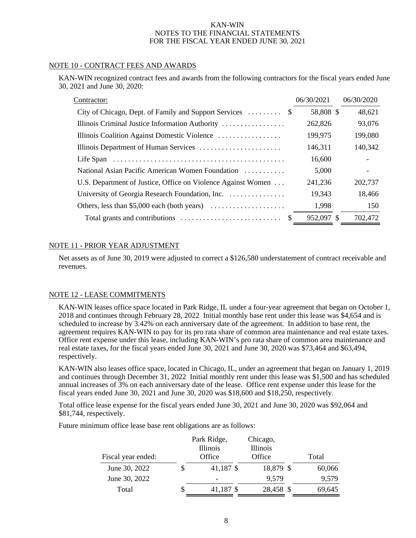#### NOTE 10 - CONTRACT FEES AND AWARDS

KAN-WIN recognized contract fees and awards from the following contractors for the fiscal years ended June 30, 2021 and June 30, 2020:

| Contractor:                                                                 | 06/30/2021 | 06/30/2020               |
|-----------------------------------------------------------------------------|------------|--------------------------|
|                                                                             | 58,808 \$  | 48,621                   |
| Illinois Criminal Justice Information Authority                             | 262,826    | 93,076                   |
| Illinois Coalition Against Domestic Violence                                | 199,975    | 199,080                  |
| Illinois Department of Human Services                                       | 146,311    | 140,342                  |
|                                                                             | 16,600     | $\overline{\phantom{a}}$ |
| National Asian Pacific American Women Foundation                            | 5,000      |                          |
| U.S. Department of Justice, Office on Violence Against Women                | 241,236    | 202,737                  |
| University of Georgia Research Foundation, Inc.                             | 19,343     | 18,466                   |
| Others, less than \$5,000 each (both years) $\dots \dots \dots \dots \dots$ | 1,998      | 150                      |
| Total grants and contributions $\dots \dots \dots \dots \dots \dots \dots$  | 952,097 \$ | 702,472                  |

#### NOTE 11 - PRIOR YEAR ADJUSTMENT

Net assets as of June 30, 2019 were adjusted to correct a \$126,580 understatement of contract receivable and revenues.

#### NOTE 12 - LEASE COMMITMENTS

KAN-WIN leases office space located in Park Ridge, IL under a four-year agreement that began on October 1, 2018 and continues through February 28, 2022 Initial monthly base rent under this lease was \$4,654 and is scheduled to increase by 3.42% on each anniversary date of the agreement. In addition to base rent, the agreement requires KAN-WIN to pay for its pro rata share of common area maintenance and real estate taxes. Office rent expense under this lease, including KAN-WIN's pro rata share of common area maintenance and real estate taxes, for the fiscal years ended June 30, 2021 and June 30, 2020 was \$73,464 and \$63,494, respectively.

KAN-WIN also leases office space, located in Chicago, IL, under an agreement that began on January 1, 2019 and continues through December 31, 2022 Initial monthly rent under this lease was \$1,500 and has scheduled annual increases of 3% on each anniversary date of the lease. Office rent expense under this lease for the fiscal years ended June 30, 2021 and June 30, 2020 was \$18,600 and \$18,250, respectively.

Total office lease expense for the fiscal years ended June 30, 2021 and June 30, 2020 was \$92,064 and \$81,744, respectively.

Future minimum office lease base rent obligations are as follows:

|                    |   | Park Ridge,        | Chicago,           |        |
|--------------------|---|--------------------|--------------------|--------|
| Fiscal year ended: |   | Illinois<br>Office | Illinois<br>Office | Total  |
| June 30, 2022      | S | 41,187 \$          | 18,879 \$          | 60,066 |
| June 30, 2022      |   | -                  | 9,579              | 9,579  |
| Total              | S | 41,187 \$          | 28,458 \$          | 69,645 |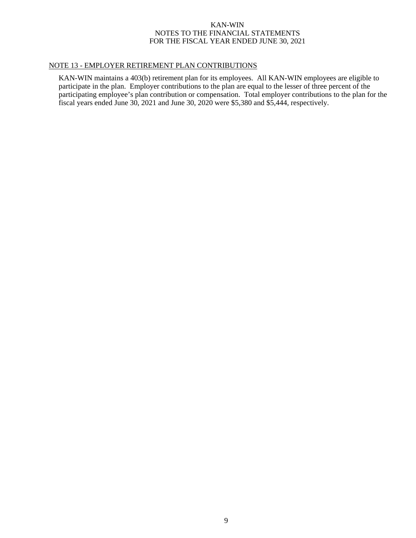# NOTE 13 - EMPLOYER RETIREMENT PLAN CONTRIBUTIONS

KAN-WIN maintains a 403(b) retirement plan for its employees. All KAN-WIN employees are eligible to participate in the plan. Employer contributions to the plan are equal to the lesser of three percent of the participating employee's plan contribution or compensation. Total employer contributions to the plan for the fiscal years ended June 30, 2021 and June 30, 2020 were \$5,380 and \$5,444, respectively.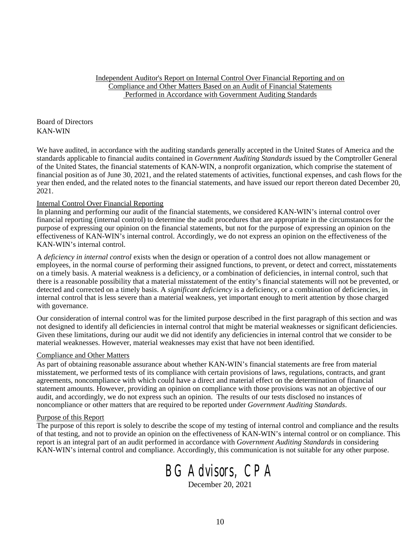Independent Auditor's Report on Internal Control Over Financial Reporting and on Compliance and Other Matters Based on an Audit of Financial Statements Performed in Accordance with Government Auditing Standards

Board of Directors KAN-WIN

We have audited, in accordance with the auditing standards generally accepted in the United States of America and the standards applicable to financial audits contained in *Government Auditing Standards* issued by the Comptroller General of the United States, the financial statements of KAN-WIN, a nonprofit organization, which comprise the statement of financial position as of June 30, 2021, and the related statements of activities, functional expenses, and cash flows for the year then ended, and the related notes to the financial statements, and have issued our report thereon dated December 20, 2021.

#### Internal Control Over Financial Reporting

In planning and performing our audit of the financial statements, we considered KAN-WIN's internal control over financial reporting (internal control) to determine the audit procedures that are appropriate in the circumstances for the purpose of expressing our opinion on the financial statements, but not for the purpose of expressing an opinion on the effectiveness of KAN-WIN's internal control. Accordingly, we do not express an opinion on the effectiveness of the KAN-WIN's internal control.

A *deficiency in internal control* exists when the design or operation of a control does not allow management or employees, in the normal course of performing their assigned functions, to prevent, or detect and correct, misstatements on a timely basis. A material weakness is a deficiency, or a combination of deficiencies, in internal control, such that there is a reasonable possibility that a material misstatement of the entity's financial statements will not be prevented, or detected and corrected on a timely basis. A *significant deficiency* is a deficiency, or a combination of deficiencies, in internal control that is less severe than a material weakness, yet important enough to merit attention by those charged with governance.

Our consideration of internal control was for the limited purpose described in the first paragraph of this section and was not designed to identify all deficiencies in internal control that might be material weaknesses or significant deficiencies. Given these limitations, during our audit we did not identify any deficiencies in internal control that we consider to be material weaknesses. However, material weaknesses may exist that have not been identified.

#### Compliance and Other Matters

As part of obtaining reasonable assurance about whether KAN-WIN's financial statements are free from material misstatement, we performed tests of its compliance with certain provisions of laws, regulations, contracts, and grant agreements, noncompliance with which could have a direct and material effect on the determination of financial statement amounts. However, providing an opinion on compliance with those provisions was not an objective of our audit, and accordingly, we do not express such an opinion. The results of our tests disclosed no instances of noncompliance or other matters that are required to be reported under *Government Auditing Standards*.

#### Purpose of this Report

The purpose of this report is solely to describe the scope of my testing of internal control and compliance and the results of that testing, and not to provide an opinion on the effectiveness of KAN-WIN's internal control or on compliance. This report is an integral part of an audit performed in accordance with *Government Auditing Standards* in considering KAN-WIN's internal control and compliance. Accordingly, this communication is not suitable for any other purpose.

# BG Advisors, CPA

December 20, 2021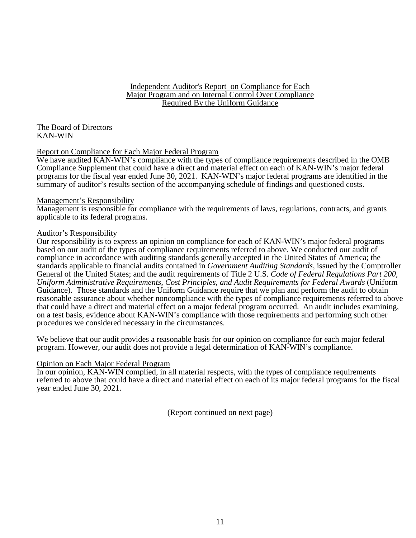# Independent Auditor's Report on Compliance for Each Major Program and on Internal Control Over Compliance Required By the Uniform Guidance

The Board of Directors KAN-WIN

# Report on Compliance for Each Major Federal Program

We have audited KAN-WIN's compliance with the types of compliance requirements described in the OMB Compliance Supplement that could have a direct and material effect on each of KAN-WIN's major federal programs for the fiscal year ended June 30, 2021. KAN-WIN's major federal programs are identified in the summary of auditor's results section of the accompanying schedule of findings and questioned costs.

#### Management's Responsibility

Management is responsible for compliance with the requirements of laws, regulations, contracts, and grants applicable to its federal programs.

#### Auditor's Responsibility

Our responsibility is to express an opinion on compliance for each of KAN-WIN's major federal programs based on our audit of the types of compliance requirements referred to above. We conducted our audit of compliance in accordance with auditing standards generally accepted in the United States of America; the standards applicable to financial audits contained in *Government Auditing Standards*, issued by the Comptroller General of the United States; and the audit requirements of Title 2 U.S. *Code of Federal Regulations Part 200, Uniform Administrative Requirements, Cost Principles, and Audit Requirements for Federal Awards* (Uniform Guidance). Those standards and the Uniform Guidance require that we plan and perform the audit to obtain reasonable assurance about whether noncompliance with the types of compliance requirements referred to above that could have a direct and material effect on a major federal program occurred. An audit includes examining, on a test basis, evidence about KAN-WIN's compliance with those requirements and performing such other procedures we considered necessary in the circumstances.

We believe that our audit provides a reasonable basis for our opinion on compliance for each major federal program. However, our audit does not provide a legal determination of KAN-WIN's compliance.

#### Opinion on Each Major Federal Program

In our opinion, KAN-WIN complied, in all material respects, with the types of compliance requirements referred to above that could have a direct and material effect on each of its major federal programs for the fiscal year ended June 30, 2021.

(Report continued on next page)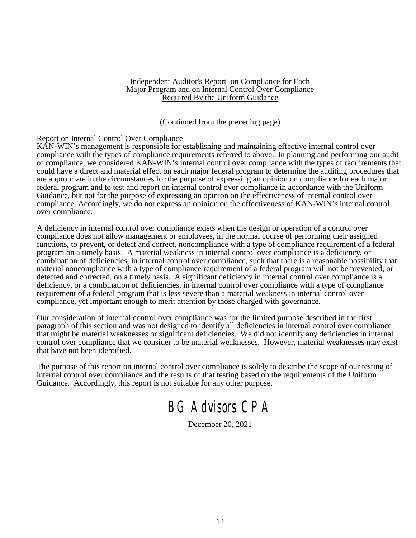#### Independent Auditor's Report on Compliance for Each Major Program and on Internal Control Over Compliance Required By the Uniform Guidance

(Continued from the preceding page)

# Report on Internal Control Over Compliance

KAN-WIN's management is responsible for establishing and maintaining effective internal control over compliance with the types of compliance requirements referred to above. In planning and performing our audit of compliance, we considered KAN-WIN's internal control over compliance with the types of requirements that could have a direct and material effect on each major federal program to determine the auditing procedures that are appropriate in the circumstances for the purpose of expressing an opinion on compliance for each major federal program and to test and report on internal control over compliance in accordance with the Uniform Guidance, but not for the purpose of expressing an opinion on the effectiveness of internal control over compliance. Accordingly, we do not express an opinion on the effectiveness of KAN-WIN's internal control over compliance.

A deficiency in internal control over compliance exists when the design or operation of a control over compliance does not allow management or employees, in the normal course of performing their assigned functions, to prevent, or detect and correct, noncompliance with a type of compliance requirement of a federal program on a timely basis. A material weakness in internal control over compliance is a deficiency, or combination of deficiencies, in internal control over compliance, such that there is a reasonable possibility that material noncompliance with a type of compliance requirement of a federal program will not be prevented, or detected and corrected, on a timely basis. A significant deficiency in internal control over compliance is a deficiency, or a combination of deficiencies, in internal control over compliance with a type of compliance requirement of a federal program that is less severe than a material weakness in internal control over compliance, yet important enough to merit attention by those charged with governance.

Our consideration of internal control over compliance was for the limited purpose described in the first paragraph of this section and was not designed to identify all deficiencies in internal control over compliance that might be material weaknesses or significant deficiencies. We did not identify any deficiencies in internal control over compliance that we consider to be material weaknesses. However, material weaknesses may exist that have not been identified.

The purpose of this report on internal control over compliance is solely to describe the scope of our testing of internal control over compliance and the results of that testing based on the requirements of the Uniform Guidance. Accordingly, this report is not suitable for any other purpose.

# BG Advisors CPA

December 20, 2021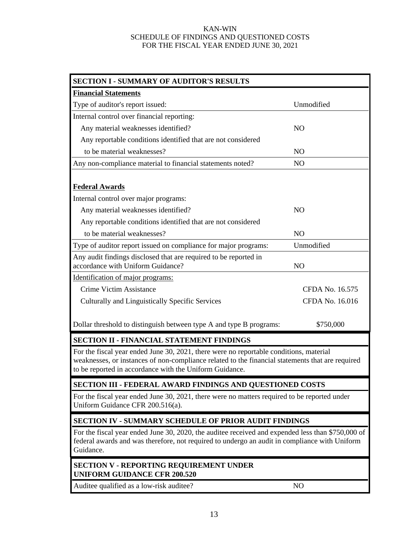#### KAN-WIN SCHEDULE OF FINDINGS AND QUESTIONED COSTS FOR THE FISCAL YEAR ENDED JUNE 30, 2021

| <b>SECTION I - SUMMARY OF AUDITOR'S RESULTS</b>                                                                                                                                                                                                       |                 |  |  |  |
|-------------------------------------------------------------------------------------------------------------------------------------------------------------------------------------------------------------------------------------------------------|-----------------|--|--|--|
| <b>Financial Statements</b>                                                                                                                                                                                                                           |                 |  |  |  |
| Type of auditor's report issued:                                                                                                                                                                                                                      | Unmodified      |  |  |  |
| Internal control over financial reporting:                                                                                                                                                                                                            |                 |  |  |  |
| Any material weaknesses identified?                                                                                                                                                                                                                   | NO.             |  |  |  |
| Any reportable conditions identified that are not considered                                                                                                                                                                                          |                 |  |  |  |
| to be material weaknesses?                                                                                                                                                                                                                            | N <sub>O</sub>  |  |  |  |
| Any non-compliance material to financial statements noted?                                                                                                                                                                                            | N <sub>O</sub>  |  |  |  |
|                                                                                                                                                                                                                                                       |                 |  |  |  |
| <b>Federal Awards</b>                                                                                                                                                                                                                                 |                 |  |  |  |
| Internal control over major programs:                                                                                                                                                                                                                 |                 |  |  |  |
| Any material weaknesses identified?                                                                                                                                                                                                                   | NO.             |  |  |  |
| Any reportable conditions identified that are not considered                                                                                                                                                                                          |                 |  |  |  |
| to be material weaknesses?                                                                                                                                                                                                                            | N <sub>O</sub>  |  |  |  |
| Type of auditor report issued on compliance for major programs:                                                                                                                                                                                       | Unmodified      |  |  |  |
| Any audit findings disclosed that are required to be reported in<br>accordance with Uniform Guidance?                                                                                                                                                 | N <sub>O</sub>  |  |  |  |
| Identification of major programs:                                                                                                                                                                                                                     |                 |  |  |  |
| Crime Victim Assistance                                                                                                                                                                                                                               | CFDA No. 16.575 |  |  |  |
| Culturally and Linguistically Specific Services                                                                                                                                                                                                       | CFDA No. 16.016 |  |  |  |
|                                                                                                                                                                                                                                                       |                 |  |  |  |
| Dollar threshold to distinguish between type A and type B programs:                                                                                                                                                                                   | \$750,000       |  |  |  |
| SECTION II - FINANCIAL STATEMENT FINDINGS                                                                                                                                                                                                             |                 |  |  |  |
| For the fiscal year ended June 30, 2021, there were no reportable conditions, material<br>weaknesses, or instances of non-compliance related to the financial statements that are required<br>to be reported in accordance with the Uniform Guidance. |                 |  |  |  |
| <b>SECTION III - FEDERAL AWARD FINDINGS AND QUESTIONED COSTS</b>                                                                                                                                                                                      |                 |  |  |  |
| For the fiscal year ended June 30, 2021, there were no matters required to be reported under<br>Uniform Guidance CFR 200.516(a).                                                                                                                      |                 |  |  |  |
| <b>SECTION IV - SUMMARY SCHEDULE OF PRIOR AUDIT FINDINGS</b>                                                                                                                                                                                          |                 |  |  |  |
| For the fiscal year ended June 30, 2020, the auditee received and expended less than \$750,000 of<br>federal awards and was therefore, not required to undergo an audit in compliance with Uniform<br>Guidance.                                       |                 |  |  |  |
| <b>SECTION V - REPORTING REQUIREMENT UNDER</b><br><b>UNIFORM GUIDANCE CFR 200.520</b>                                                                                                                                                                 |                 |  |  |  |

Auditee qualified as a low-risk auditee? NO